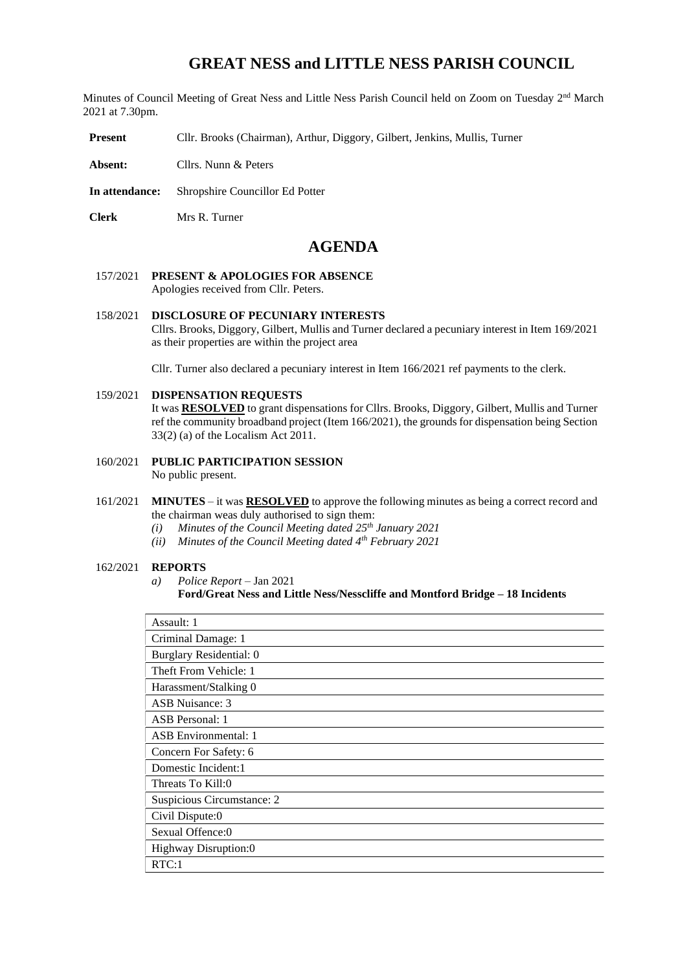# **GREAT NESS and LITTLE NESS PARISH COUNCIL**

Minutes of Council Meeting of Great Ness and Little Ness Parish Council held on Zoom on Tuesday 2<sup>nd</sup> March 2021 at 7.30pm.

**Present** Cllr. Brooks (Chairman), Arthur, Diggory, Gilbert, Jenkins, Mullis, Turner

- **Absent:** Cllrs. Nunn & Peters
- **In attendance:** Shropshire Councillor Ed Potter
- **Clerk** Mrs R. Turner

## **AGENDA**

- 157/2021 **PRESENT & APOLOGIES FOR ABSENCE**  Apologies received from Cllr. Peters.
- 158/2021 **DISCLOSURE OF PECUNIARY INTERESTS** Cllrs. Brooks, Diggory, Gilbert, Mullis and Turner declared a pecuniary interest in Item 169/2021 as their properties are within the project area

Cllr. Turner also declared a pecuniary interest in Item 166/2021 ref payments to the clerk.

159/2021 **DISPENSATION REQUESTS** 

It was **RESOLVED** to grant dispensations for Cllrs. Brooks, Diggory, Gilbert, Mullis and Turner ref the community broadband project (Item 166/2021), the grounds for dispensation being Section 33(2) (a) of the Localism Act 2011.

- 160/2021 **PUBLIC PARTICIPATION SESSION** No public present.
- 161/2021 **MINUTES** it was **RESOLVED** to approve the following minutes as being a correct record and the chairman weas duly authorised to sign them:
	- *(i) Minutes of the Council Meeting dated 25th January 2021*
	- *(ii) Minutes of the Council Meeting dated 4th February 2021*

#### 162/2021 **REPORTS**

*a) Police Report* – Jan 2021

```
Ford/Great Ness and Little Ness/Nesscliffe and Montford Bridge – 18 Incidents
```

| Assault: 1                  |
|-----------------------------|
| Criminal Damage: 1          |
| Burglary Residential: 0     |
| Theft From Vehicle: 1       |
| Harassment/Stalking 0       |
| ASB Nuisance: 3             |
| ASB Personal: 1             |
| <b>ASB</b> Environmental: 1 |
| Concern For Safety: 6       |
| Domestic Incident:1         |
| Threats To Kill:0           |
| Suspicious Circumstance: 2  |
| Civil Dispute:0             |
| Sexual Offence:0            |
| Highway Disruption:0        |
| RTC:1                       |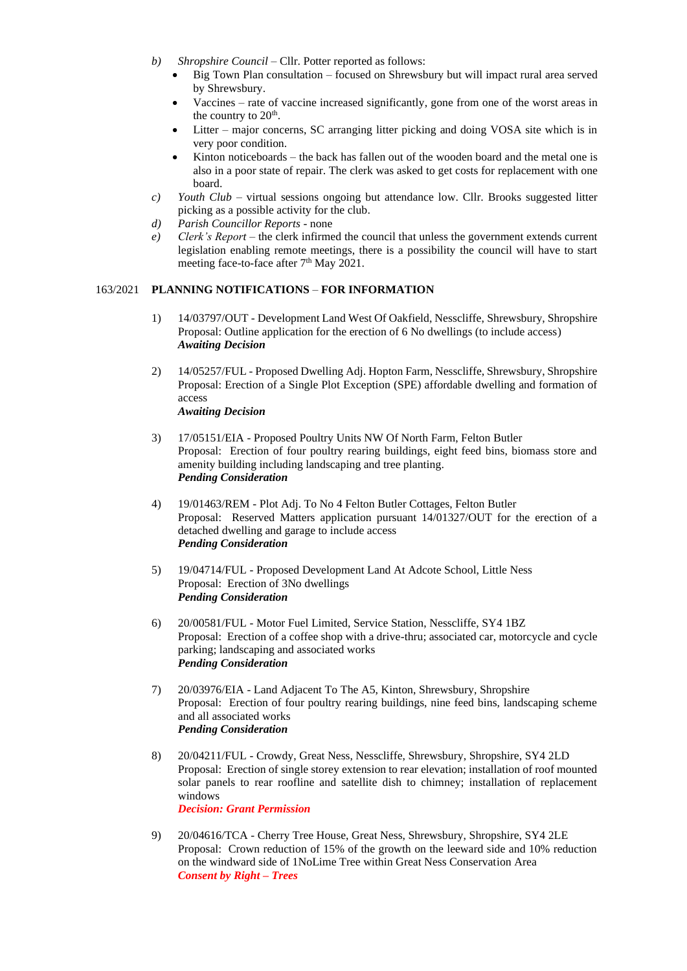- *b*) *Shropshire Council* Cllr. Potter reported as follows:
	- Big Town Plan consultation focused on Shrewsbury but will impact rural area served by Shrewsbury.
	- Vaccines rate of vaccine increased significantly, gone from one of the worst areas in the country to  $20^{\text{th}}$ .
	- Litter major concerns, SC arranging litter picking and doing VOSA site which is in very poor condition.
	- Kinton noticeboards the back has fallen out of the wooden board and the metal one is also in a poor state of repair. The clerk was asked to get costs for replacement with one board.
- *c) Youth Club*  virtual sessions ongoing but attendance low. Cllr. Brooks suggested litter picking as a possible activity for the club.
- *d) Parish Councillor Reports* none
- *e) Clerk's Report* the clerk infirmed the council that unless the government extends current legislation enabling remote meetings, there is a possibility the council will have to start meeting face-to-face after 7<sup>th</sup> May 2021.

## 163/2021 **PLANNING NOTIFICATIONS** – **FOR INFORMATION**

- 1) 14/03797/OUT Development Land West Of Oakfield, Nesscliffe, Shrewsbury, Shropshire Proposal: Outline application for the erection of 6 No dwellings (to include access) *Awaiting Decision*
- 2) 14/05257/FUL Proposed Dwelling Adj. Hopton Farm, Nesscliffe, Shrewsbury, Shropshire Proposal: Erection of a Single Plot Exception (SPE) affordable dwelling and formation of access *Awaiting Decision*
- 3) 17/05151/EIA Proposed Poultry Units NW Of North Farm, Felton Butler Proposal: Erection of four poultry rearing buildings, eight feed bins, biomass store and amenity building including landscaping and tree planting. *Pending Consideration*
- 4) 19/01463/REM Plot Adj. To No 4 Felton Butler Cottages, Felton Butler Proposal: Reserved Matters application pursuant 14/01327/OUT for the erection of a detached dwelling and garage to include access *Pending Consideration*
- 5) 19/04714/FUL Proposed Development Land At Adcote School, Little Ness Proposal: Erection of 3No dwellings *Pending Consideration*
- 6) 20/00581/FUL Motor Fuel Limited, Service Station, Nesscliffe, SY4 1BZ Proposal: Erection of a coffee shop with a drive-thru; associated car, motorcycle and cycle parking; landscaping and associated works *Pending Consideration*
- 7) 20/03976/EIA Land Adjacent To The A5, Kinton, Shrewsbury, Shropshire Proposal: Erection of four poultry rearing buildings, nine feed bins, landscaping scheme and all associated works *Pending Consideration*
- 8) 20/04211/FUL Crowdy, Great Ness, Nesscliffe, Shrewsbury, Shropshire, SY4 2LD Proposal: Erection of single storey extension to rear elevation; installation of roof mounted solar panels to rear roofline and satellite dish to chimney; installation of replacement windows

*Decision: Grant Permission*

9) 20/04616/TCA - Cherry Tree House, Great Ness, Shrewsbury, Shropshire, SY4 2LE Proposal: Crown reduction of 15% of the growth on the leeward side and 10% reduction on the windward side of 1NoLime Tree within Great Ness Conservation Area *Consent by Right – Trees*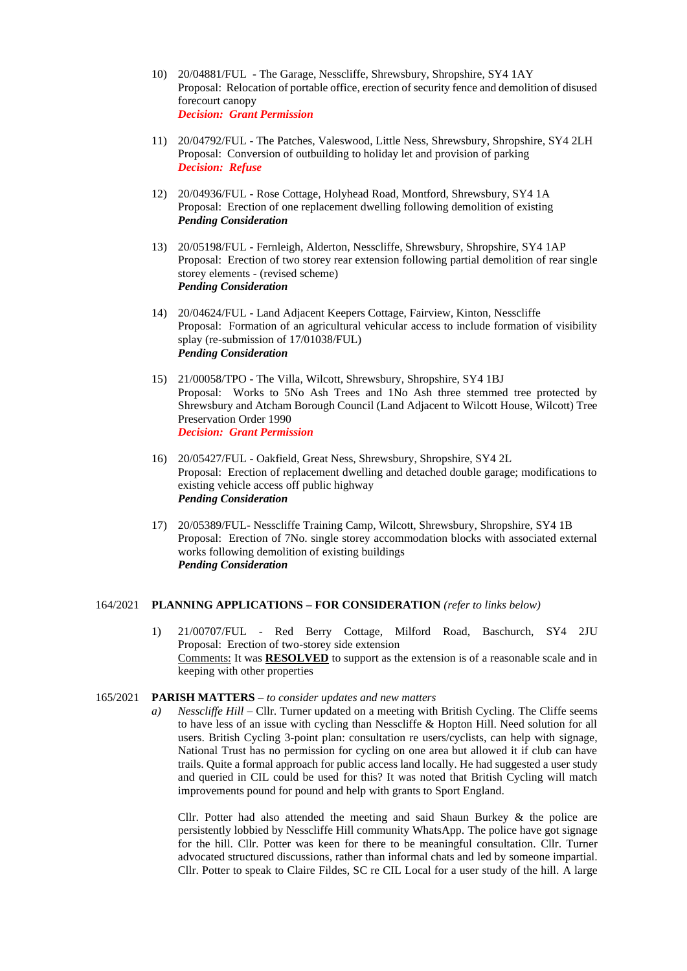- 10) 20/04881/FUL The Garage, Nesscliffe, Shrewsbury, Shropshire, SY4 1AY Proposal: Relocation of portable office, erection of security fence and demolition of disused forecourt canopy *Decision: Grant Permission*
- 11) 20/04792/FUL The Patches, Valeswood, Little Ness, Shrewsbury, Shropshire, SY4 2LH Proposal: Conversion of outbuilding to holiday let and provision of parking *Decision: Refuse*
- 12) 20/04936/FUL Rose Cottage, Holyhead Road, Montford, Shrewsbury, SY4 1A Proposal: Erection of one replacement dwelling following demolition of existing *Pending Consideration*
- 13) 20/05198/FUL Fernleigh, Alderton, Nesscliffe, Shrewsbury, Shropshire, SY4 1AP Proposal: Erection of two storey rear extension following partial demolition of rear single storey elements - (revised scheme) *Pending Consideration*
- 14) 20/04624/FUL Land Adjacent Keepers Cottage, Fairview, Kinton, Nesscliffe Proposal: Formation of an agricultural vehicular access to include formation of visibility splay (re-submission of 17/01038/FUL) *Pending Consideration*
- 15) 21/00058/TPO The Villa, Wilcott, Shrewsbury, Shropshire, SY4 1BJ Proposal: Works to 5No Ash Trees and 1No Ash three stemmed tree protected by Shrewsbury and Atcham Borough Council (Land Adjacent to Wilcott House, Wilcott) Tree Preservation Order 1990 *Decision: Grant Permission*
- 16) 20/05427/FUL Oakfield, Great Ness, Shrewsbury, Shropshire, SY4 2L Proposal: Erection of replacement dwelling and detached double garage; modifications to existing vehicle access off public highway *Pending Consideration*
- 17) 20/05389/FUL- Nesscliffe Training Camp, Wilcott, Shrewsbury, Shropshire, SY4 1B Proposal: Erection of 7No. single storey accommodation blocks with associated external works following demolition of existing buildings *Pending Consideration*

#### 164/2021 **PLANNING APPLICATIONS – FOR CONSIDERATION** *(refer to links below)*

1) 21/00707/FUL - Red Berry Cottage, Milford Road, Baschurch, SY4 2JU Proposal: Erection of two-storey side extension Comments: It was **RESOLVED** to support as the extension is of a reasonable scale and in keeping with other properties

#### 165/2021 **PARISH MATTERS –** *to consider updates and new matters*

*a*) *Nesscliffe Hill* – Cllr. Turner updated on a meeting with British Cycling. The Cliffe seems to have less of an issue with cycling than Nesscliffe & Hopton Hill. Need solution for all users. British Cycling 3-point plan: consultation re users/cyclists, can help with signage, National Trust has no permission for cycling on one area but allowed it if club can have trails. Quite a formal approach for public access land locally. He had suggested a user study and queried in CIL could be used for this? It was noted that British Cycling will match improvements pound for pound and help with grants to Sport England.

Cllr. Potter had also attended the meeting and said Shaun Burkey & the police are persistently lobbied by Nesscliffe Hill community WhatsApp. The police have got signage for the hill. Cllr. Potter was keen for there to be meaningful consultation. Cllr. Turner advocated structured discussions, rather than informal chats and led by someone impartial. Cllr. Potter to speak to Claire Fildes, SC re CIL Local for a user study of the hill. A large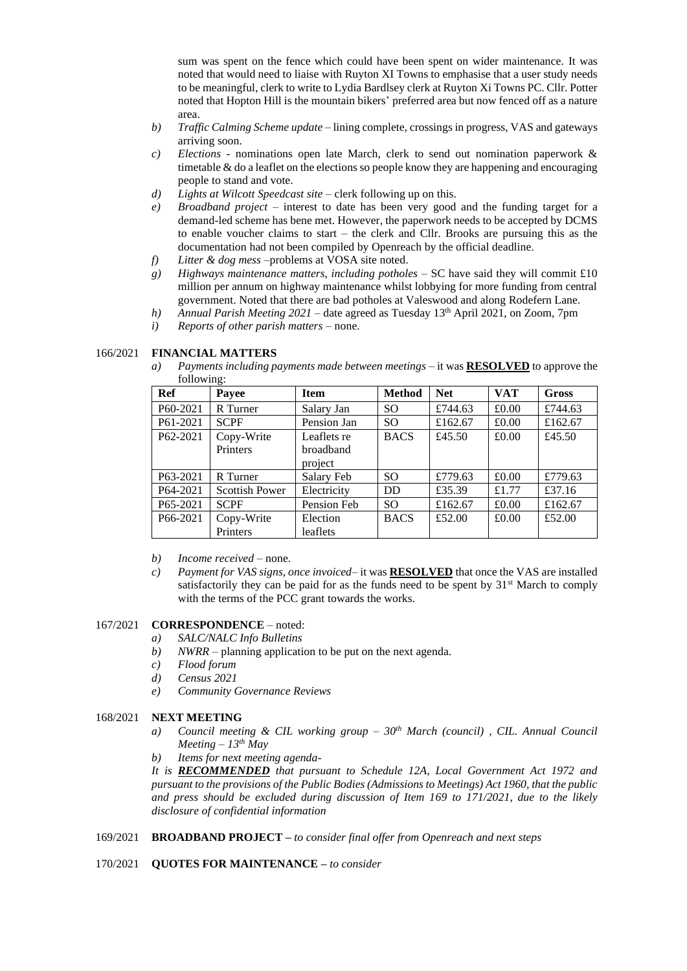sum was spent on the fence which could have been spent on wider maintenance. It was noted that would need to liaise with Ruyton XI Towns to emphasise that a user study needs to be meaningful, clerk to write to Lydia Bardlsey clerk at Ruyton Xi Towns PC. Cllr. Potter noted that Hopton Hill is the mountain bikers' preferred area but now fenced off as a nature area.

- *b) Traffic Calming Scheme update* lining complete, crossings in progress, VAS and gateways arriving soon.
- *c) Elections* nominations open late March, clerk to send out nomination paperwork & timetable & do a leaflet on the elections so people know they are happening and encouraging people to stand and vote.
- *d) Lights at Wilcott Speedcast site* clerk following up on this.
- *e) Broadband project –* interest to date has been very good and the funding target for a demand-led scheme has bene met. However, the paperwork needs to be accepted by DCMS to enable voucher claims to start – the clerk and Cllr. Brooks are pursuing this as the documentation had not been compiled by Openreach by the official deadline.
- *f) Litter & dog mess* –problems at VOSA site noted.
- *g) Highways maintenance matters, including potholes* SC have said they will commit £10 million per annum on highway maintenance whilst lobbying for more funding from central government. Noted that there are bad potholes at Valeswood and along Rodefern Lane.
- *h) Annual Parish Meeting 2021* date agreed as Tuesday 13th April 2021, on Zoom, 7pm
- *i) Reports of other parish matters*  none.

## 166/2021 **FINANCIAL MATTERS**

*a) Payments including payments made between meetings –* it was **RESOLVED** to approve the following:

| Ref      | $\circ$<br>Payee      | <b>Item</b> | <b>Method</b> | <b>Net</b> | <b>VAT</b> | <b>Gross</b> |
|----------|-----------------------|-------------|---------------|------------|------------|--------------|
| P60-2021 | R Turner              | Salary Jan  | <sub>SO</sub> | £744.63    | £0.00      | £744.63      |
| P61-2021 | <b>SCPF</b>           | Pension Jan | <sub>SO</sub> | £162.67    | £0.00      | £162.67      |
| P62-2021 | Copy-Write            | Leaflets re | <b>BACS</b>   | £45.50     | £0.00      | £45.50       |
|          | Printers              | broadband   |               |            |            |              |
|          |                       | project     |               |            |            |              |
| P63-2021 | R Turner              | Salary Feb  | <sub>SO</sub> | £779.63    | £0.00      | £779.63      |
| P64-2021 | <b>Scottish Power</b> | Electricity | <b>DD</b>     | £35.39     | £1.77      | £37.16       |
| P65-2021 | <b>SCPF</b>           | Pension Feb | SO.           | £162.67    | £0.00      | £162.67      |
| P66-2021 | Copy-Write            | Election    | <b>BACS</b>   | £52.00     | £0.00      | £52.00       |
|          | Printers              | leaflets    |               |            |            |              |

- *b) Income received* none.
- *c) Payment for VAS signs, once invoiced* it was **RESOLVED** that once the VAS are installed satisfactorily they can be paid for as the funds need to be spent by  $31<sup>st</sup>$  March to comply with the terms of the PCC grant towards the works.

## 167/2021 **CORRESPONDENCE** – noted:

- *a) SALC/NALC Info Bulletins*
- *b) NWRR*  planning application to be put on the next agenda.
- *c) Flood forum*
- *d) Census 2021*
- *e) Community Governance Reviews*

## 168/2021 **NEXT MEETING**

- *a) Council meeting & CIL working group – 30th March (council) , CIL. Annual Council Meeting – 13th May*
- *b) Items for next meeting agenda-*

*It is RECOMMENDED that pursuant to Schedule 12A, Local Government Act 1972 and pursuant to the provisions of the Public Bodies (Admissions to Meetings) Act 1960, that the public and press should be excluded during discussion of Item 169 to 171/2021, due to the likely disclosure of confidential information*

169/2021 **BROADBAND PROJECT –** *to consider final offer from Openreach and next steps*

## 170/2021 **QUOTES FOR MAINTENANCE –** *to consider*